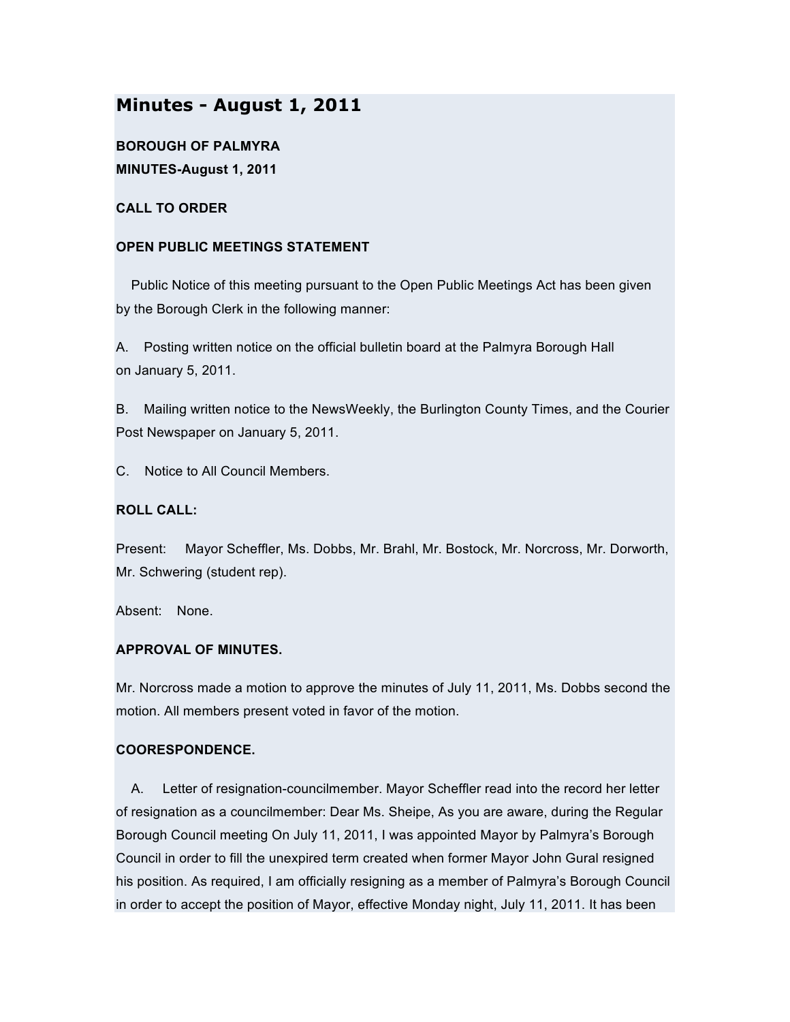# **Minutes - August 1, 2011**

**BOROUGH OF PALMYRA MINUTES-August 1, 2011**

**CALL TO ORDER**

## **OPEN PUBLIC MEETINGS STATEMENT**

Public Notice of this meeting pursuant to the Open Public Meetings Act has been given by the Borough Clerk in the following manner:

A. Posting written notice on the official bulletin board at the Palmyra Borough Hall on January 5, 2011.

B. Mailing written notice to the NewsWeekly, the Burlington County Times, and the Courier Post Newspaper on January 5, 2011.

C. Notice to All Council Members.

# **ROLL CALL:**

Present: Mayor Scheffler, Ms. Dobbs, Mr. Brahl, Mr. Bostock, Mr. Norcross, Mr. Dorworth, Mr. Schwering (student rep).

Absent: None.

## **APPROVAL OF MINUTES.**

Mr. Norcross made a motion to approve the minutes of July 11, 2011, Ms. Dobbs second the motion. All members present voted in favor of the motion.

## **COORESPONDENCE.**

A. Letter of resignation-councilmember. Mayor Scheffler read into the record her letter of resignation as a councilmember: Dear Ms. Sheipe, As you are aware, during the Regular Borough Council meeting On July 11, 2011, I was appointed Mayor by Palmyra's Borough Council in order to fill the unexpired term created when former Mayor John Gural resigned his position. As required, I am officially resigning as a member of Palmyra's Borough Council in order to accept the position of Mayor, effective Monday night, July 11, 2011. It has been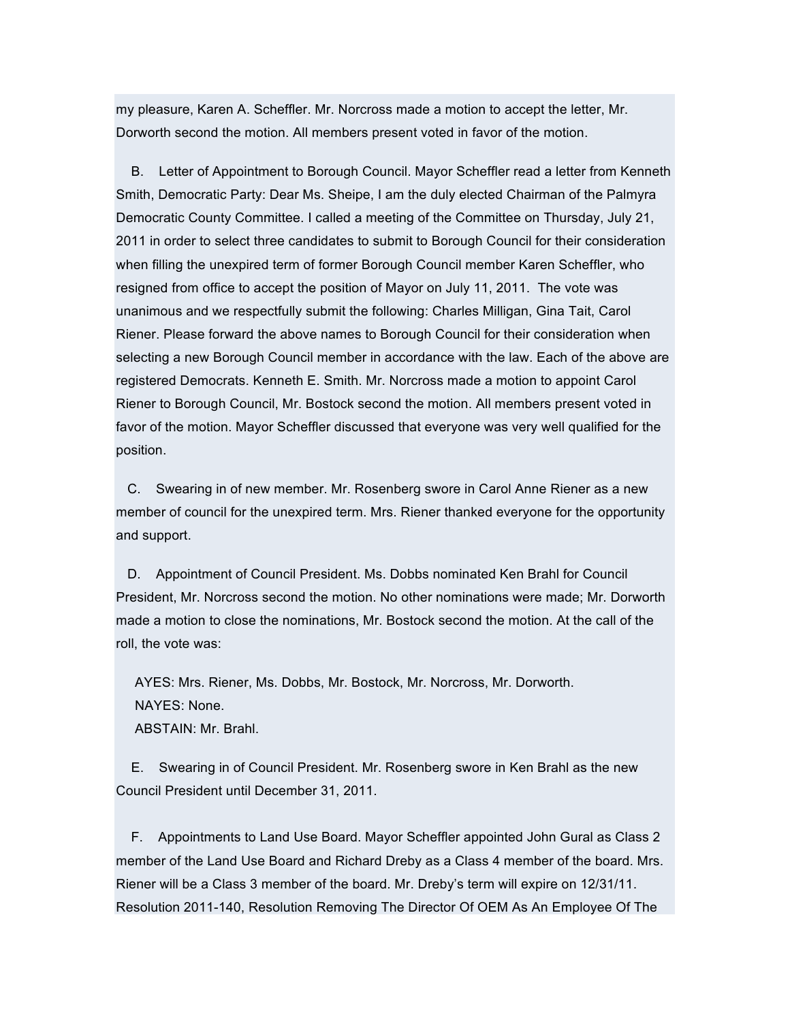my pleasure, Karen A. Scheffler. Mr. Norcross made a motion to accept the letter, Mr. Dorworth second the motion. All members present voted in favor of the motion.

B. Letter of Appointment to Borough Council. Mayor Scheffler read a letter from Kenneth Smith, Democratic Party: Dear Ms. Sheipe, I am the duly elected Chairman of the Palmyra Democratic County Committee. I called a meeting of the Committee on Thursday, July 21, 2011 in order to select three candidates to submit to Borough Council for their consideration when filling the unexpired term of former Borough Council member Karen Scheffler, who resigned from office to accept the position of Mayor on July 11, 2011. The vote was unanimous and we respectfully submit the following: Charles Milligan, Gina Tait, Carol Riener. Please forward the above names to Borough Council for their consideration when selecting a new Borough Council member in accordance with the law. Each of the above are registered Democrats. Kenneth E. Smith. Mr. Norcross made a motion to appoint Carol Riener to Borough Council, Mr. Bostock second the motion. All members present voted in favor of the motion. Mayor Scheffler discussed that everyone was very well qualified for the position.

C. Swearing in of new member. Mr. Rosenberg swore in Carol Anne Riener as a new member of council for the unexpired term. Mrs. Riener thanked everyone for the opportunity and support.

D. Appointment of Council President. Ms. Dobbs nominated Ken Brahl for Council President, Mr. Norcross second the motion. No other nominations were made; Mr. Dorworth made a motion to close the nominations, Mr. Bostock second the motion. At the call of the roll, the vote was:

AYES: Mrs. Riener, Ms. Dobbs, Mr. Bostock, Mr. Norcross, Mr. Dorworth. NAYES: None. ABSTAIN: Mr. Brahl.

E. Swearing in of Council President. Mr. Rosenberg swore in Ken Brahl as the new Council President until December 31, 2011.

F. Appointments to Land Use Board. Mayor Scheffler appointed John Gural as Class 2 member of the Land Use Board and Richard Dreby as a Class 4 member of the board. Mrs. Riener will be a Class 3 member of the board. Mr. Dreby's term will expire on 12/31/11. Resolution 2011-140, Resolution Removing The Director Of OEM As An Employee Of The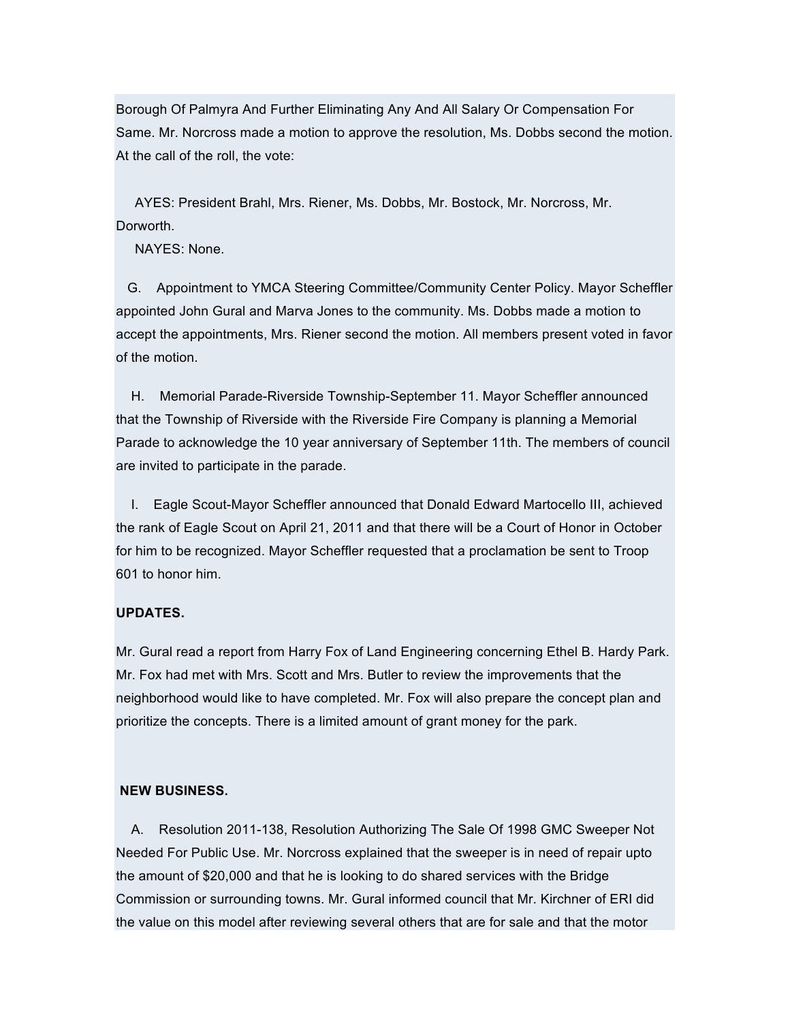Borough Of Palmyra And Further Eliminating Any And All Salary Or Compensation For Same. Mr. Norcross made a motion to approve the resolution, Ms. Dobbs second the motion. At the call of the roll, the vote:

AYES: President Brahl, Mrs. Riener, Ms. Dobbs, Mr. Bostock, Mr. Norcross, Mr. Dorworth.

NAYES: None.

G. Appointment to YMCA Steering Committee/Community Center Policy. Mayor Scheffler appointed John Gural and Marva Jones to the community. Ms. Dobbs made a motion to accept the appointments, Mrs. Riener second the motion. All members present voted in favor of the motion.

H. Memorial Parade-Riverside Township-September 11. Mayor Scheffler announced that the Township of Riverside with the Riverside Fire Company is planning a Memorial Parade to acknowledge the 10 year anniversary of September 11th. The members of council are invited to participate in the parade.

I. Eagle Scout-Mayor Scheffler announced that Donald Edward Martocello III, achieved the rank of Eagle Scout on April 21, 2011 and that there will be a Court of Honor in October for him to be recognized. Mayor Scheffler requested that a proclamation be sent to Troop 601 to honor him.

#### **UPDATES.**

Mr. Gural read a report from Harry Fox of Land Engineering concerning Ethel B. Hardy Park. Mr. Fox had met with Mrs. Scott and Mrs. Butler to review the improvements that the neighborhood would like to have completed. Mr. Fox will also prepare the concept plan and prioritize the concepts. There is a limited amount of grant money for the park.

#### **NEW BUSINESS.**

A. Resolution 2011-138, Resolution Authorizing The Sale Of 1998 GMC Sweeper Not Needed For Public Use. Mr. Norcross explained that the sweeper is in need of repair upto the amount of \$20,000 and that he is looking to do shared services with the Bridge Commission or surrounding towns. Mr. Gural informed council that Mr. Kirchner of ERI did the value on this model after reviewing several others that are for sale and that the motor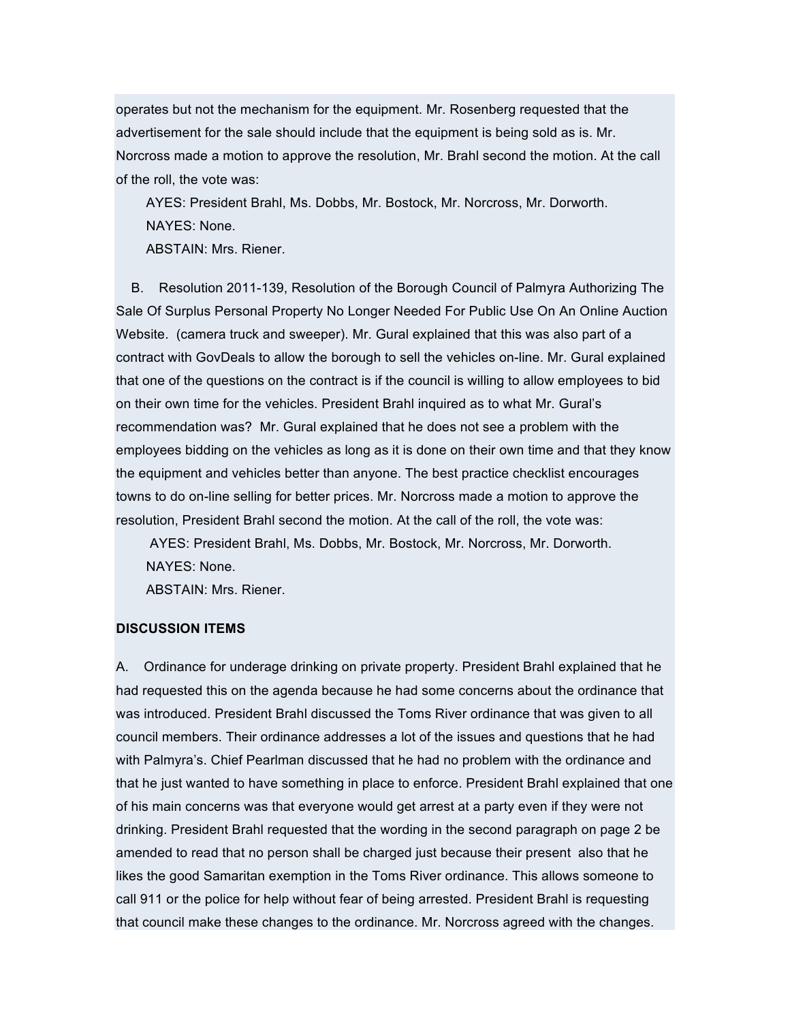operates but not the mechanism for the equipment. Mr. Rosenberg requested that the advertisement for the sale should include that the equipment is being sold as is. Mr. Norcross made a motion to approve the resolution, Mr. Brahl second the motion. At the call of the roll, the vote was:

AYES: President Brahl, Ms. Dobbs, Mr. Bostock, Mr. Norcross, Mr. Dorworth. NAYES: None.

ABSTAIN: Mrs. Riener.

B. Resolution 2011-139, Resolution of the Borough Council of Palmyra Authorizing The Sale Of Surplus Personal Property No Longer Needed For Public Use On An Online Auction Website. (camera truck and sweeper). Mr. Gural explained that this was also part of a contract with GovDeals to allow the borough to sell the vehicles on-line. Mr. Gural explained that one of the questions on the contract is if the council is willing to allow employees to bid on their own time for the vehicles. President Brahl inquired as to what Mr. Gural's recommendation was? Mr. Gural explained that he does not see a problem with the employees bidding on the vehicles as long as it is done on their own time and that they know the equipment and vehicles better than anyone. The best practice checklist encourages towns to do on-line selling for better prices. Mr. Norcross made a motion to approve the resolution, President Brahl second the motion. At the call of the roll, the vote was:

AYES: President Brahl, Ms. Dobbs, Mr. Bostock, Mr. Norcross, Mr. Dorworth. NAYES: None.

ABSTAIN: Mrs. Riener.

#### **DISCUSSION ITEMS**

A. Ordinance for underage drinking on private property. President Brahl explained that he had requested this on the agenda because he had some concerns about the ordinance that was introduced. President Brahl discussed the Toms River ordinance that was given to all council members. Their ordinance addresses a lot of the issues and questions that he had with Palmyra's. Chief Pearlman discussed that he had no problem with the ordinance and that he just wanted to have something in place to enforce. President Brahl explained that one of his main concerns was that everyone would get arrest at a party even if they were not drinking. President Brahl requested that the wording in the second paragraph on page 2 be amended to read that no person shall be charged just because their present also that he likes the good Samaritan exemption in the Toms River ordinance. This allows someone to call 911 or the police for help without fear of being arrested. President Brahl is requesting that council make these changes to the ordinance. Mr. Norcross agreed with the changes.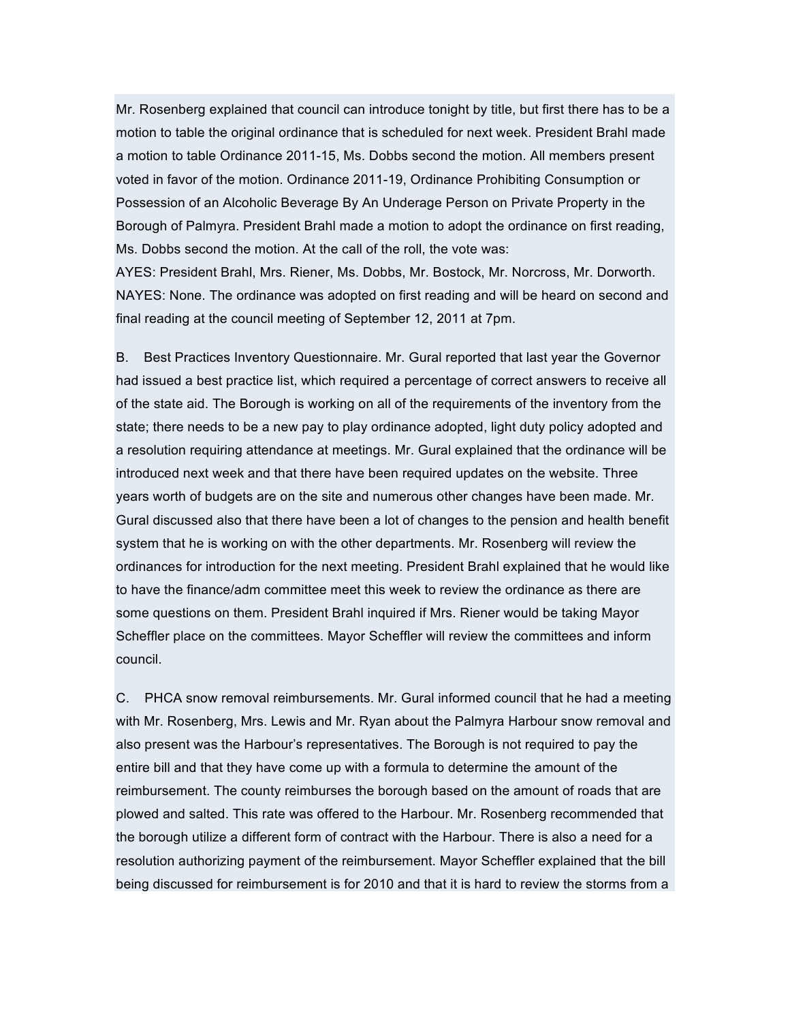Mr. Rosenberg explained that council can introduce tonight by title, but first there has to be a motion to table the original ordinance that is scheduled for next week. President Brahl made a motion to table Ordinance 2011-15, Ms. Dobbs second the motion. All members present voted in favor of the motion. Ordinance 2011-19, Ordinance Prohibiting Consumption or Possession of an Alcoholic Beverage By An Underage Person on Private Property in the Borough of Palmyra. President Brahl made a motion to adopt the ordinance on first reading, Ms. Dobbs second the motion. At the call of the roll, the vote was:

AYES: President Brahl, Mrs. Riener, Ms. Dobbs, Mr. Bostock, Mr. Norcross, Mr. Dorworth. NAYES: None. The ordinance was adopted on first reading and will be heard on second and final reading at the council meeting of September 12, 2011 at 7pm.

B. Best Practices Inventory Questionnaire. Mr. Gural reported that last year the Governor had issued a best practice list, which required a percentage of correct answers to receive all of the state aid. The Borough is working on all of the requirements of the inventory from the state; there needs to be a new pay to play ordinance adopted, light duty policy adopted and a resolution requiring attendance at meetings. Mr. Gural explained that the ordinance will be introduced next week and that there have been required updates on the website. Three years worth of budgets are on the site and numerous other changes have been made. Mr. Gural discussed also that there have been a lot of changes to the pension and health benefit system that he is working on with the other departments. Mr. Rosenberg will review the ordinances for introduction for the next meeting. President Brahl explained that he would like to have the finance/adm committee meet this week to review the ordinance as there are some questions on them. President Brahl inquired if Mrs. Riener would be taking Mayor Scheffler place on the committees. Mayor Scheffler will review the committees and inform council.

C. PHCA snow removal reimbursements. Mr. Gural informed council that he had a meeting with Mr. Rosenberg, Mrs. Lewis and Mr. Ryan about the Palmyra Harbour snow removal and also present was the Harbour's representatives. The Borough is not required to pay the entire bill and that they have come up with a formula to determine the amount of the reimbursement. The county reimburses the borough based on the amount of roads that are plowed and salted. This rate was offered to the Harbour. Mr. Rosenberg recommended that the borough utilize a different form of contract with the Harbour. There is also a need for a resolution authorizing payment of the reimbursement. Mayor Scheffler explained that the bill being discussed for reimbursement is for 2010 and that it is hard to review the storms from a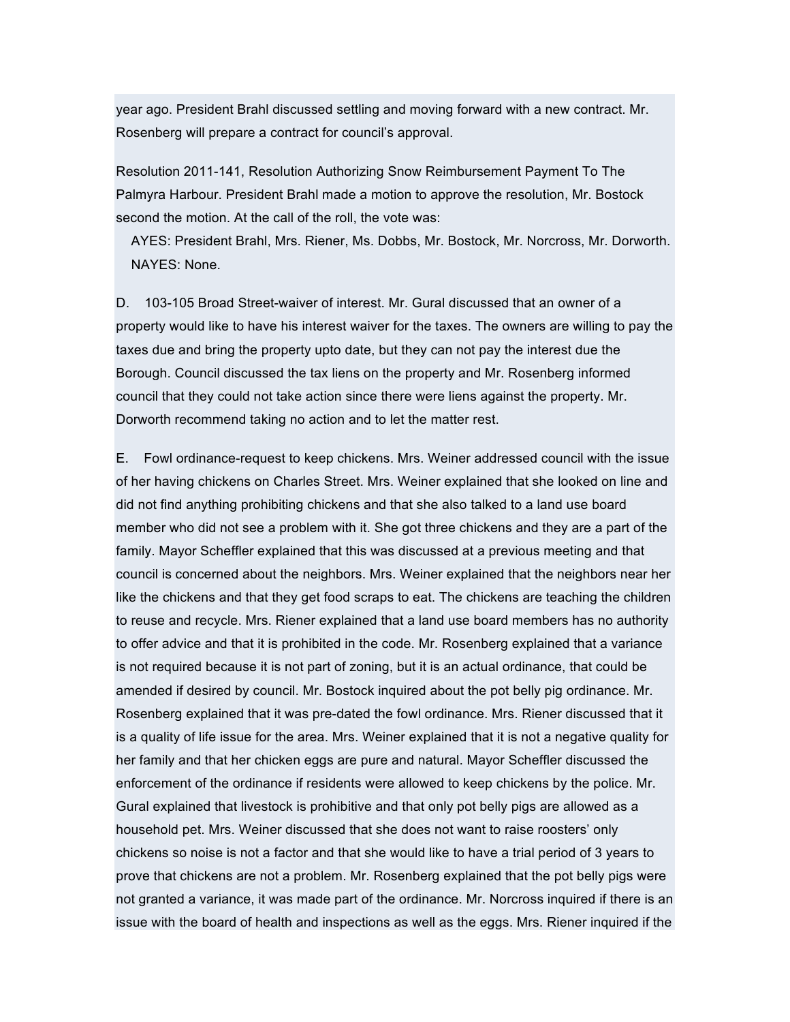year ago. President Brahl discussed settling and moving forward with a new contract. Mr. Rosenberg will prepare a contract for council's approval.

Resolution 2011-141, Resolution Authorizing Snow Reimbursement Payment To The Palmyra Harbour. President Brahl made a motion to approve the resolution, Mr. Bostock second the motion. At the call of the roll, the vote was:

AYES: President Brahl, Mrs. Riener, Ms. Dobbs, Mr. Bostock, Mr. Norcross, Mr. Dorworth. NAYES: None.

D. 103-105 Broad Street-waiver of interest. Mr. Gural discussed that an owner of a property would like to have his interest waiver for the taxes. The owners are willing to pay the taxes due and bring the property upto date, but they can not pay the interest due the Borough. Council discussed the tax liens on the property and Mr. Rosenberg informed council that they could not take action since there were liens against the property. Mr. Dorworth recommend taking no action and to let the matter rest.

E. Fowl ordinance-request to keep chickens. Mrs. Weiner addressed council with the issue of her having chickens on Charles Street. Mrs. Weiner explained that she looked on line and did not find anything prohibiting chickens and that she also talked to a land use board member who did not see a problem with it. She got three chickens and they are a part of the family. Mayor Scheffler explained that this was discussed at a previous meeting and that council is concerned about the neighbors. Mrs. Weiner explained that the neighbors near her like the chickens and that they get food scraps to eat. The chickens are teaching the children to reuse and recycle. Mrs. Riener explained that a land use board members has no authority to offer advice and that it is prohibited in the code. Mr. Rosenberg explained that a variance is not required because it is not part of zoning, but it is an actual ordinance, that could be amended if desired by council. Mr. Bostock inquired about the pot belly pig ordinance. Mr. Rosenberg explained that it was pre-dated the fowl ordinance. Mrs. Riener discussed that it is a quality of life issue for the area. Mrs. Weiner explained that it is not a negative quality for her family and that her chicken eggs are pure and natural. Mayor Scheffler discussed the enforcement of the ordinance if residents were allowed to keep chickens by the police. Mr. Gural explained that livestock is prohibitive and that only pot belly pigs are allowed as a household pet. Mrs. Weiner discussed that she does not want to raise roosters' only chickens so noise is not a factor and that she would like to have a trial period of 3 years to prove that chickens are not a problem. Mr. Rosenberg explained that the pot belly pigs were not granted a variance, it was made part of the ordinance. Mr. Norcross inquired if there is an issue with the board of health and inspections as well as the eggs. Mrs. Riener inquired if the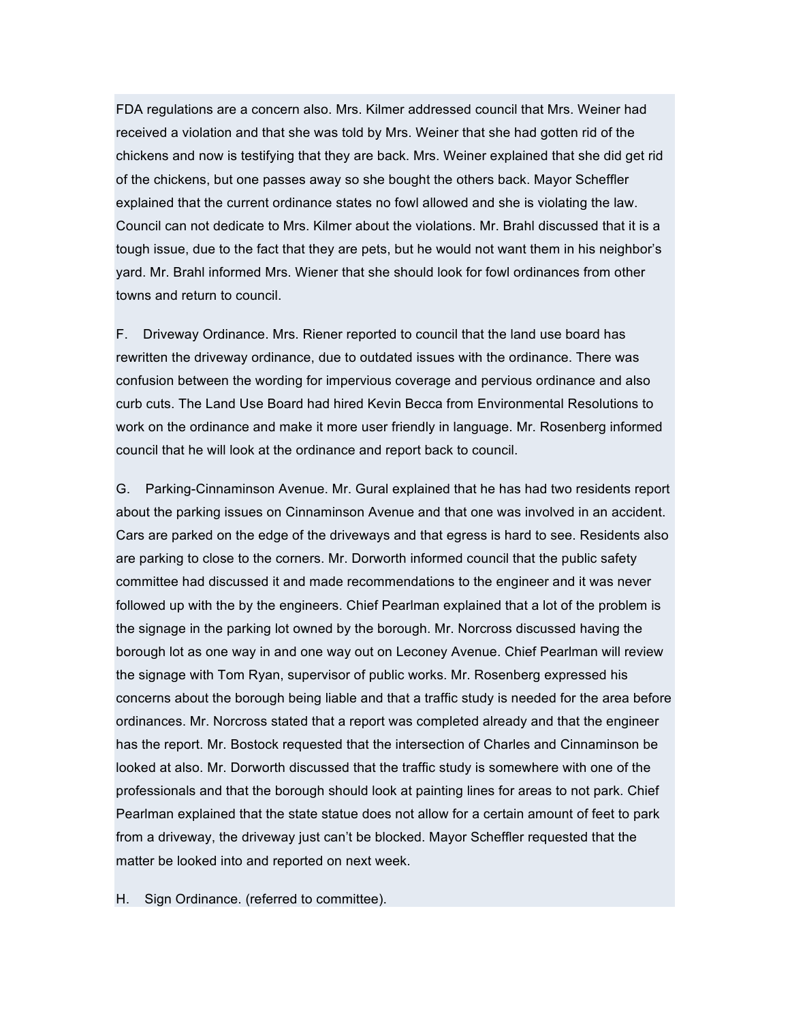FDA regulations are a concern also. Mrs. Kilmer addressed council that Mrs. Weiner had received a violation and that she was told by Mrs. Weiner that she had gotten rid of the chickens and now is testifying that they are back. Mrs. Weiner explained that she did get rid of the chickens, but one passes away so she bought the others back. Mayor Scheffler explained that the current ordinance states no fowl allowed and she is violating the law. Council can not dedicate to Mrs. Kilmer about the violations. Mr. Brahl discussed that it is a tough issue, due to the fact that they are pets, but he would not want them in his neighbor's yard. Mr. Brahl informed Mrs. Wiener that she should look for fowl ordinances from other towns and return to council.

F. Driveway Ordinance. Mrs. Riener reported to council that the land use board has rewritten the driveway ordinance, due to outdated issues with the ordinance. There was confusion between the wording for impervious coverage and pervious ordinance and also curb cuts. The Land Use Board had hired Kevin Becca from Environmental Resolutions to work on the ordinance and make it more user friendly in language. Mr. Rosenberg informed council that he will look at the ordinance and report back to council.

G. Parking-Cinnaminson Avenue. Mr. Gural explained that he has had two residents report about the parking issues on Cinnaminson Avenue and that one was involved in an accident. Cars are parked on the edge of the driveways and that egress is hard to see. Residents also are parking to close to the corners. Mr. Dorworth informed council that the public safety committee had discussed it and made recommendations to the engineer and it was never followed up with the by the engineers. Chief Pearlman explained that a lot of the problem is the signage in the parking lot owned by the borough. Mr. Norcross discussed having the borough lot as one way in and one way out on Leconey Avenue. Chief Pearlman will review the signage with Tom Ryan, supervisor of public works. Mr. Rosenberg expressed his concerns about the borough being liable and that a traffic study is needed for the area before ordinances. Mr. Norcross stated that a report was completed already and that the engineer has the report. Mr. Bostock requested that the intersection of Charles and Cinnaminson be looked at also. Mr. Dorworth discussed that the traffic study is somewhere with one of the professionals and that the borough should look at painting lines for areas to not park. Chief Pearlman explained that the state statue does not allow for a certain amount of feet to park from a driveway, the driveway just can't be blocked. Mayor Scheffler requested that the matter be looked into and reported on next week.

H. Sign Ordinance. (referred to committee).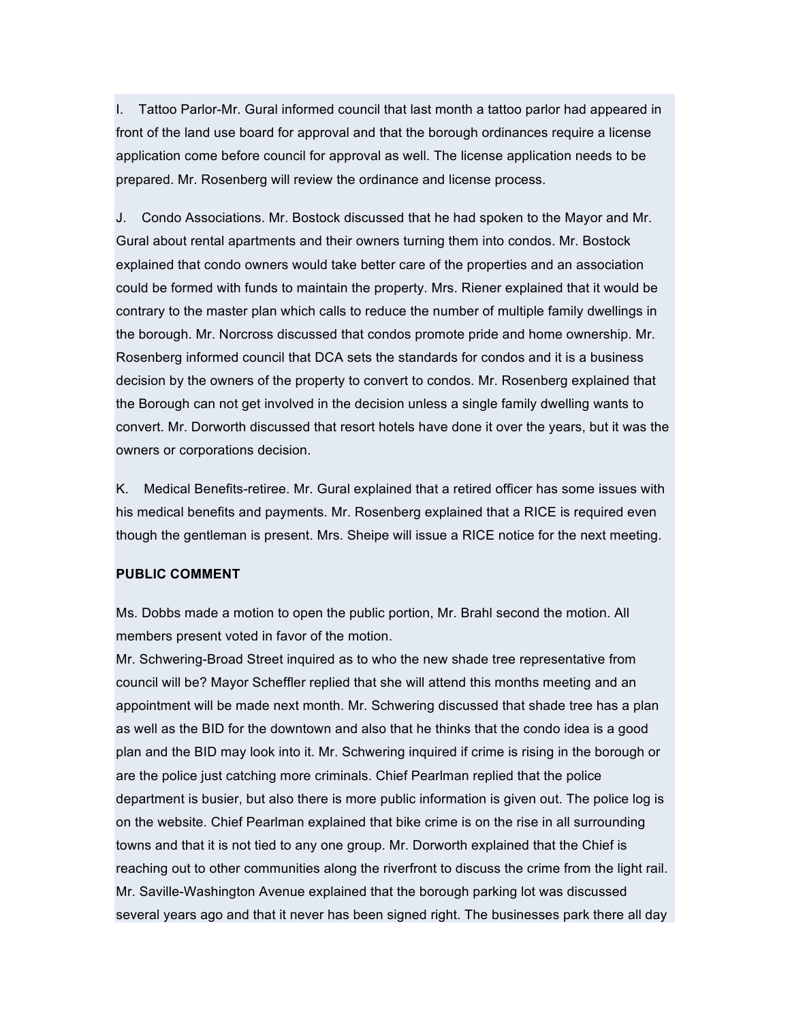I. Tattoo Parlor-Mr. Gural informed council that last month a tattoo parlor had appeared in front of the land use board for approval and that the borough ordinances require a license application come before council for approval as well. The license application needs to be prepared. Mr. Rosenberg will review the ordinance and license process.

J. Condo Associations. Mr. Bostock discussed that he had spoken to the Mayor and Mr. Gural about rental apartments and their owners turning them into condos. Mr. Bostock explained that condo owners would take better care of the properties and an association could be formed with funds to maintain the property. Mrs. Riener explained that it would be contrary to the master plan which calls to reduce the number of multiple family dwellings in the borough. Mr. Norcross discussed that condos promote pride and home ownership. Mr. Rosenberg informed council that DCA sets the standards for condos and it is a business decision by the owners of the property to convert to condos. Mr. Rosenberg explained that the Borough can not get involved in the decision unless a single family dwelling wants to convert. Mr. Dorworth discussed that resort hotels have done it over the years, but it was the owners or corporations decision.

K. Medical Benefits-retiree. Mr. Gural explained that a retired officer has some issues with his medical benefits and payments. Mr. Rosenberg explained that a RICE is required even though the gentleman is present. Mrs. Sheipe will issue a RICE notice for the next meeting.

### **PUBLIC COMMENT**

Ms. Dobbs made a motion to open the public portion, Mr. Brahl second the motion. All members present voted in favor of the motion.

Mr. Schwering-Broad Street inquired as to who the new shade tree representative from council will be? Mayor Scheffler replied that she will attend this months meeting and an appointment will be made next month. Mr. Schwering discussed that shade tree has a plan as well as the BID for the downtown and also that he thinks that the condo idea is a good plan and the BID may look into it. Mr. Schwering inquired if crime is rising in the borough or are the police just catching more criminals. Chief Pearlman replied that the police department is busier, but also there is more public information is given out. The police log is on the website. Chief Pearlman explained that bike crime is on the rise in all surrounding towns and that it is not tied to any one group. Mr. Dorworth explained that the Chief is reaching out to other communities along the riverfront to discuss the crime from the light rail. Mr. Saville-Washington Avenue explained that the borough parking lot was discussed several years ago and that it never has been signed right. The businesses park there all day